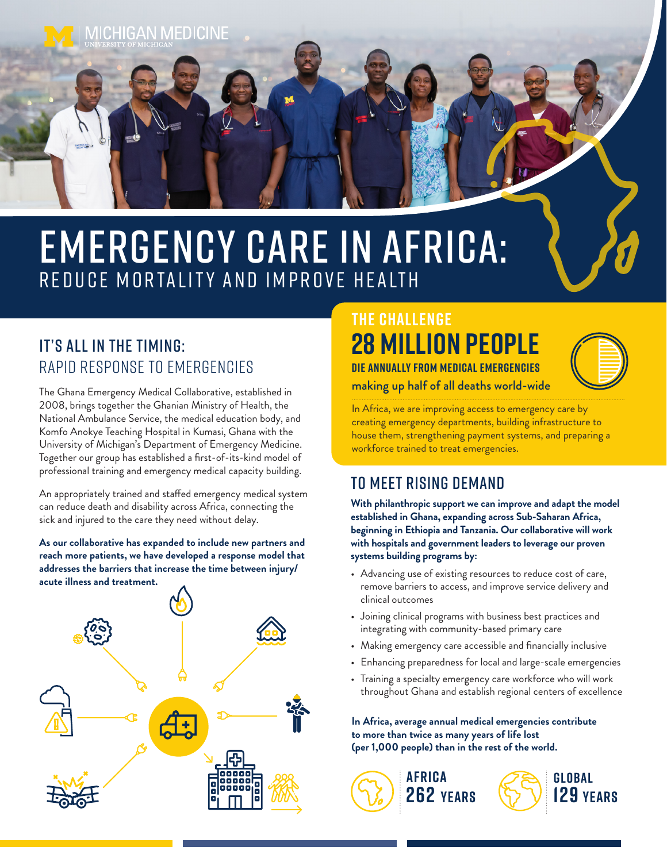

# EMERGENCY CARE IN AFRICA: REDUCE MORTALITY AND IMPROVE HEALTH

# IT'S ALL IN THE TIMING: Rapid Response to Emergencies

The Ghana Emergency Medical Collaborative, established in 2008, brings together the Ghanian Ministry of Health, the National Ambulance Service, the medical education body, and Komfo Anokye Teaching Hospital in Kumasi, Ghana with the University of Michigan's Department of Emergency Medicine. Together our group has established a first-of-its-kind model of professional training and emergency medical capacity building.

An appropriately trained and staffed emergency medical system can reduce death and disability across Africa, connecting the sick and injured to the care they need without delay.

#### **As our collaborative has expanded to include new partners and reach more patients, we have developed a response model that addresses the barriers that increase the time between injury/ acute illness and treatment.**



# **28 MILLION PEOPLE DIE ANNUALLY FROM MEDICAL EMERGENCIES THE CHALLENGE**



making up half of all deaths world-wide

In Africa, we are improving access to emergency care by creating emergency departments, building infrastructure to house them, strengthening payment systems, and preparing a workforce trained to treat emergencies.

# To Meet Rising Demand

**With philanthropic support we can improve and adapt the model established in Ghana, expanding across Sub-Saharan Africa, beginning in Ethiopia and Tanzania. Our collaborative will work with hospitals and government leaders to leverage our proven systems building programs by:**

- Advancing use of existing resources to reduce cost of care, remove barriers to access, and improve service delivery and clinical outcomes
- Joining clinical programs with business best practices and integrating with community-based primary care
- Making emergency care accessible and financially inclusive
- Enhancing preparedness for local and large-scale emergencies
- Training a specialty emergency care workforce who will work throughout Ghana and establish regional centers of excellence

**In Africa, average annual medical emergencies contribute to more than twice as many years of life lost (per 1,000 people) than in the rest of the world.**